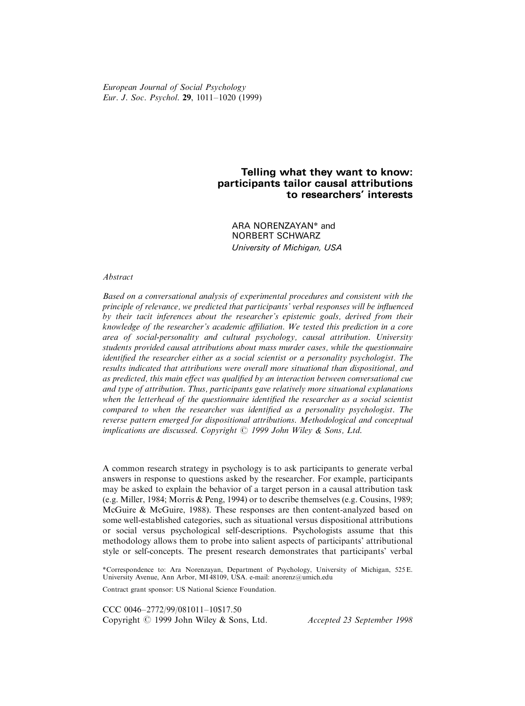European Journal of Social Psychology Eur. J. Soc. Psychol. 29, 1011-1020 (1999)

# Telling what they want to know: participants tailor causal attributions to researchers' interests

ARA NORENZAYAN\* and NORBERT SCHWARZ University of Michigan, USA

## Abstract

Based on a conversational analysis of experimental procedures and consistent with the principle of relevance, we predicted that participants' verbal responses will be influenced by their tacit inferences about the researcher's epistemic goals, derived from their knowledge of the researcher's academic affiliation. We tested this prediction in a core area of social-personality and cultural psychology, causal attribution. University students provided causal attributions about mass murder cases, while the questionnaire identified the researcher either as a social scientist or a personality psychologist. The results indicated that attributions were overall more situational than dispositional, and as predicted, this main effect was qualified by an interaction between conversational cue and type of attribution. Thus, participants gave relatively more situational explanations when the letterhead of the questionnaire identified the researcher as a social scientist compared to when the researcher was identified as a personality psychologist. The reverse pattern emerged for dispositional attributions. Methodological and conceptual implications are discussed. Copyright  $\odot$  1999 John Wiley & Sons, Ltd.

A common research strategy in psychology is to ask participants to generate verbal answers in response to questions asked by the researcher. For example, participants may be asked to explain the behavior of a target person in a causal attribution task (e.g. Miller, 1984; Morris & Peng, 1994) or to describe themselves (e.g. Cousins, 1989; McGuire & McGuire, 1988). These responses are then content-analyzed based on some well-established categories, such as situational versus dispositional attributions or social versus psychological self-descriptions. Psychologists assume that this methodology allows them to probe into salient aspects of participants' attributional style or self-concepts. The present research demonstrates that participants' verbal

\*Correspondence to: Ara Norenzayan, Department of Psychology, University of Michigan, 525 E. University Avenue, Ann Arbor, MI 48109, USA. e-mail: anorenz@umich.edu

Contract grant sponsor: US National Science Foundation.

CCC 0046-2772/99/081011-10\$17.50 Copyright  $\odot$  1999 John Wiley & Sons, Ltd. Accepted 23 September 1998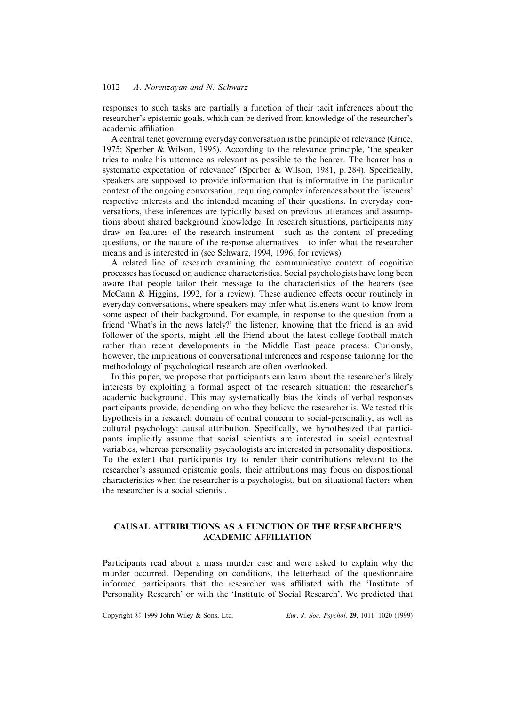responses to such tasks are partially a function of their tacit inferences about the researcher's epistemic goals, which can be derived from knowledge of the researcher's academic affiliation.

A central tenet governing everyday conversation is the principle of relevance (Grice, 1975; Sperber & Wilson, 1995). According to the relevance principle, `the speaker tries to make his utterance as relevant as possible to the hearer. The hearer has a systematic expectation of relevance' (Sperber & Wilson, 1981, p. 284). Specifically, speakers are supposed to provide information that is informative in the particular context of the ongoing conversation, requiring complex inferences about the listeners' respective interests and the intended meaning of their questions. In everyday conversations, these inferences are typically based on previous utterances and assumptions about shared background knowledge. In research situations, participants may draw on features of the research instrument—such as the content of preceding questions, or the nature of the response alternatives—to infer what the researcher means and is interested in (see Schwarz, 1994, 1996, for reviews).

A related line of research examining the communicative context of cognitive processes has focused on audience characteristics. Social psychologists have long been aware that people tailor their message to the characteristics of the hearers (see McCann & Higgins, 1992, for a review). These audience effects occur routinely in everyday conversations, where speakers may infer what listeners want to know from some aspect of their background. For example, in response to the question from a friend `What's in the news lately?' the listener, knowing that the friend is an avid follower of the sports, might tell the friend about the latest college football match rather than recent developments in the Middle East peace process. Curiously, however, the implications of conversational inferences and response tailoring for the methodology of psychological research are often overlooked.

In this paper, we propose that participants can learn about the researcher's likely interests by exploiting a formal aspect of the research situation: the researcher's academic background. This may systematically bias the kinds of verbal responses participants provide, depending on who they believe the researcher is. We tested this hypothesis in a research domain of central concern to social-personality, as well as cultural psychology: causal attribution. Specifically, we hypothesized that participants implicitly assume that social scientists are interested in social contextual variables, whereas personality psychologists are interested in personality dispositions. To the extent that participants try to render their contributions relevant to the researcher's assumed epistemic goals, their attributions may focus on dispositional characteristics when the researcher is a psychologist, but on situational factors when the researcher is a social scientist.

# CAUSAL ATTRIBUTIONS AS A FUNCTION OF THE RESEARCHER'S ACADEMIC AFFILIATION

Participants read about a mass murder case and were asked to explain why the murder occurred. Depending on conditions, the letterhead of the questionnaire informed participants that the researcher was affiliated with the 'Institute of Personality Research' or with the 'Institute of Social Research'. We predicted that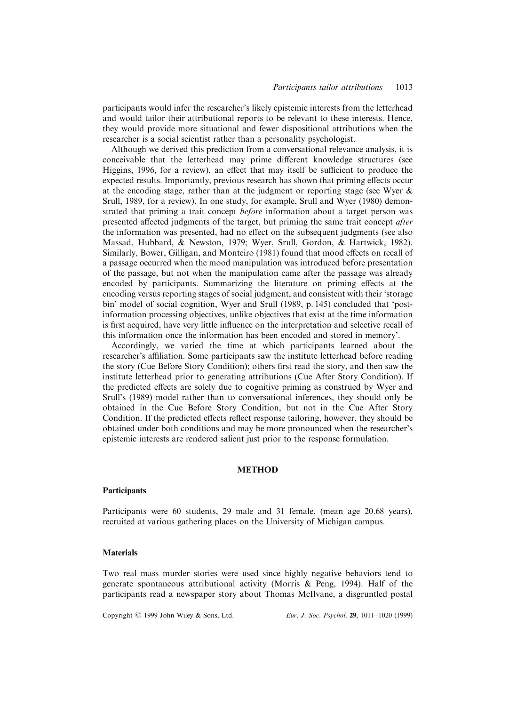participants would infer the researcher's likely epistemic interests from the letterhead and would tailor their attributional reports to be relevant to these interests. Hence, they would provide more situational and fewer dispositional attributions when the researcher is a social scientist rather than a personality psychologist.

Although we derived this prediction from a conversational relevance analysis, it is conceivable that the letterhead may prime different knowledge structures (see Higgins, 1996, for a review), an effect that may itself be sufficient to produce the expected results. Importantly, previous research has shown that priming effects occur at the encoding stage, rather than at the judgment or reporting stage (see Wyer & Srull, 1989, for a review). In one study, for example, Srull and Wyer (1980) demonstrated that priming a trait concept before information about a target person was presented affected judgments of the target, but priming the same trait concept after the information was presented, had no effect on the subsequent judgments (see also Massad, Hubbard, & Newston, 1979; Wyer, Srull, Gordon, & Hartwick, 1982). Similarly, Bower, Gilligan, and Monteiro (1981) found that mood effects on recall of a passage occurred when the mood manipulation was introduced before presentation of the passage, but not when the manipulation came after the passage was already encoded by participants. Summarizing the literature on priming effects at the encoding versus reporting stages of social judgment, and consistent with their `storage bin' model of social cognition, Wyer and Srull (1989, p. 145) concluded that 'postinformation processing objectives, unlike objectives that exist at the time information is first acquired, have very little influence on the interpretation and selective recall of this information once the information has been encoded and stored in memory'.

Accordingly, we varied the time at which participants learned about the researcher's aliation. Some participants saw the institute letterhead before reading the story (Cue Before Story Condition); others first read the story, and then saw the institute letterhead prior to generating attributions (Cue After Story Condition). If the predicted effects are solely due to cognitive priming as construed by Wyer and Srull's (1989) model rather than to conversational inferences, they should only be obtained in the Cue Before Story Condition, but not in the Cue After Story Condition. If the predicted effects reflect response tailoring, however, they should be obtained under both conditions and may be more pronounced when the researcher's epistemic interests are rendered salient just prior to the response formulation.

## METHOD

#### Participants

Participants were 60 students, 29 male and 31 female, (mean age 20.68 years), recruited at various gathering places on the University of Michigan campus.

## **Materials**

Two real mass murder stories were used since highly negative behaviors tend to generate spontaneous attributional activity (Morris & Peng, 1994). Half of the participants read a newspaper story about Thomas McIlvane, a disgruntled postal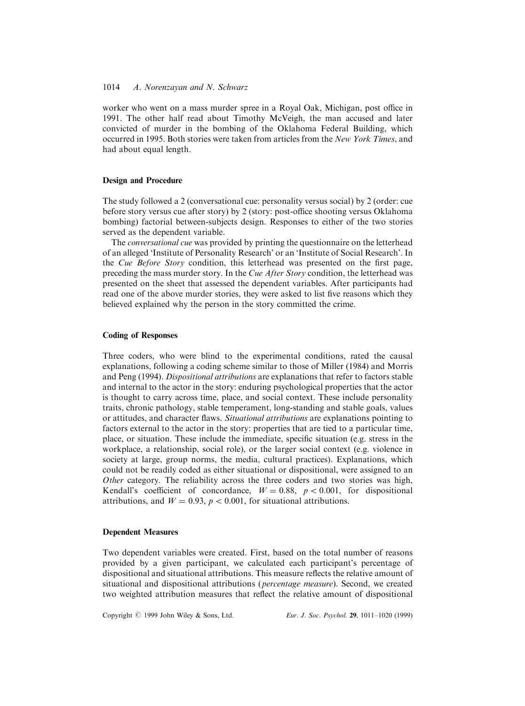worker who went on a mass murder spree in a Royal Oak, Michigan, post office in 1991. The other half read about Timothy McVeigh, the man accused and later convicted of murder in the bombing of the Oklahoma Federal Building, which occurred in 1995. Both stories were taken from articles from the New York Times, and had about equal length.

## Design and Procedure

The study followed a 2 (conversational cue: personality versus social) by 2 (order: cue before story versus cue after story) by 2 (story: post-office shooting versus Oklahoma bombing) factorial between-subjects design. Responses to either of the two stories served as the dependent variable.

The conversational cue was provided by printing the questionnaire on the letterhead of an alleged `Institute of Personality Research' or an `Institute of Social Research'. In the *Cue Before Story* condition, this letterhead was presented on the first page, preceding the mass murder story. In the Cue After Story condition, the letterhead was presented on the sheet that assessed the dependent variables. After participants had read one of the above murder stories, they were asked to list five reasons which they believed explained why the person in the story committed the crime.

#### Coding of Responses

Three coders, who were blind to the experimental conditions, rated the causal explanations, following a coding scheme similar to those of Miller (1984) and Morris and Peng (1994). Dispositional attributions are explanations that refer to factors stable and internal to the actor in the story: enduring psychological properties that the actor is thought to carry across time, place, and social context. These include personality traits, chronic pathology, stable temperament, long-standing and stable goals, values or attitudes, and character flaws. Situational attributions are explanations pointing to factors external to the actor in the story: properties that are tied to a particular time, place, or situation. These include the immediate, specific situation (e.g. stress in the workplace, a relationship, social role), or the larger social context (e.g. violence in society at large, group norms, the media, cultural practices). Explanations, which could not be readily coded as either situational or dispositional, were assigned to an Other category. The reliability across the three coders and two stories was high, Kendall's coefficient of concordance,  $W = 0.88$ ,  $p < 0.001$ , for dispositional attributions, and  $W = 0.93$ ,  $p < 0.001$ , for situational attributions.

#### Dependent Measures

Two dependent variables were created. First, based on the total number of reasons provided by a given participant, we calculated each participant's percentage of dispositional and situational attributions. This measure reflects the relative amount of situational and dispositional attributions (percentage measure). Second, we created two weighted attribution measures that reflect the relative amount of dispositional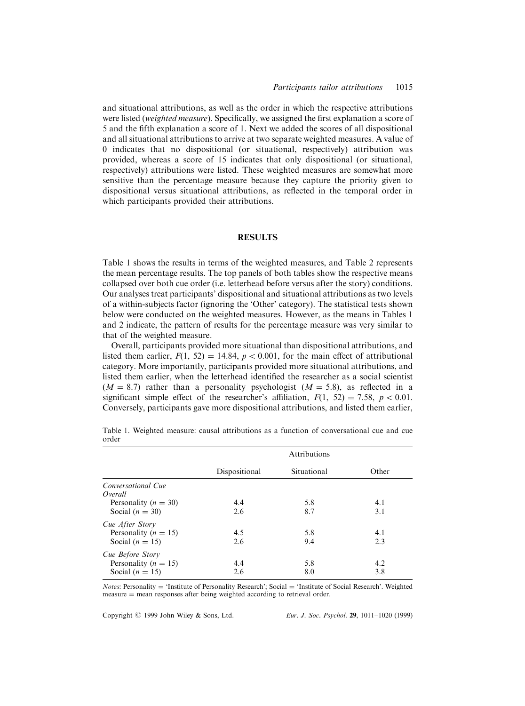and situational attributions, as well as the order in which the respective attributions were listed (weighted measure). Specifically, we assigned the first explanation a score of 5 and the fifth explanation a score of 1. Next we added the scores of all dispositional and all situational attributions to arrive at two separate weighted measures. A value of 0 indicates that no dispositional (or situational, respectively) attribution was provided, whereas a score of 15 indicates that only dispositional (or situational, respectively) attributions were listed. These weighted measures are somewhat more sensitive than the percentage measure because they capture the priority given to dispositional versus situational attributions, as reflected in the temporal order in which participants provided their attributions.

#### RESULTS

Table 1 shows the results in terms of the weighted measures, and Table 2 represents the mean percentage results. The top panels of both tables show the respective means collapsed over both cue order (i.e. letterhead before versus after the story) conditions. Our analyses treat participants' dispositional and situational attributions as two levels of a within-subjects factor (ignoring the `Other' category). The statistical tests shown below were conducted on the weighted measures. However, as the means in Tables 1 and 2 indicate, the pattern of results for the percentage measure was very similar to that of the weighted measure.

Overall, participants provided more situational than dispositional attributions, and listed them earlier,  $F(1, 52) = 14.84$ ,  $p < 0.001$ , for the main effect of attributional category. More importantly, participants provided more situational attributions, and listed them earlier, when the letterhead identified the researcher as a social scientist  $(M = 8.7)$  rather than a personality psychologist  $(M = 5.8)$ , as reflected in a significant simple effect of the researcher's affiliation,  $F(1, 52) = 7.58$ ,  $p < 0.01$ . Conversely, participants gave more dispositional attributions, and listed them earlier,

|                               | Attributions  |             |       |
|-------------------------------|---------------|-------------|-------|
|                               | Dispositional | Situational | Other |
| Conversational Cue<br>Overall |               |             |       |
| Personality ( $n = 30$ )      | 4.4           | 5.8         | 4.1   |
| Social $(n = 30)$             | 2.6           | 8.7         | 3.1   |
| Cue After Story               |               |             |       |
| Personality ( $n = 15$ )      | 4.5           | 5.8         | 4.1   |
| Social ( $n = 15$ )           | 2.6           | 9.4         | 2.3   |
| Cue Before Story              |               |             |       |
| Personality ( $n = 15$ )      | 4.4           | 5.8         | 4.2   |
| Social ( $n = 15$ )           | 2.6           | 8.0         | 3.8   |

Table 1. Weighted measure: causal attributions as a function of conversational cue and cue order

*Notes*: Personality = 'Institute of Personality Research'; Social = 'Institute of Social Research'. Weighted  $measure = mean$  responses after being weighted according to retrieval order.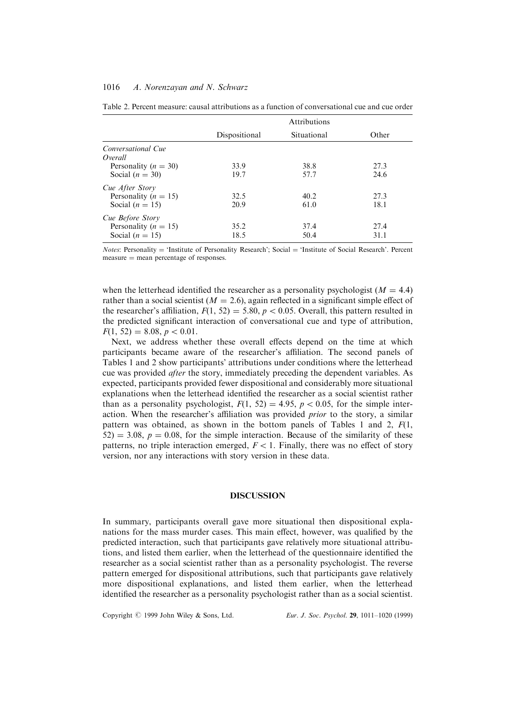|                               | <b>Attributions</b> |             |       |
|-------------------------------|---------------------|-------------|-------|
|                               | Dispositional       | Situational | Other |
| Conversational Cue<br>Overall |                     |             |       |
| Personality ( $n = 30$ )      | 33.9                | 38.8        | 27.3  |
| Social $(n = 30)$             | 19.7                | 57.7        | 24.6  |
| Cue After Story               |                     |             |       |
| Personality ( $n = 15$ )      | 32.5                | 40.2        | 27.3  |
| Social ( $n = 15$ )           | 20.9                | 61.0        | 18.1  |
| Cue Before Story              |                     |             |       |
| Personality ( $n = 15$ )      | 35.2                | 37.4        | 27.4  |
| Social $(n = 15)$             | 18.5                | 50.4        | 31.1  |

Table 2. Percent measure: causal attributions as a function of conversational cue and cue order

*Notes*: Personality = 'Institute of Personality Research'; Social = 'Institute of Social Research'. Percent  $measure = mean percentage of responses.$ 

when the letterhead identified the researcher as a personality psychologist ( $M = 4.4$ ) rather than a social scientist ( $M = 2.6$ ), again reflected in a significant simple effect of the researcher's affiliation,  $F(1, 52) = 5.80$ ,  $p < 0.05$ . Overall, this pattern resulted in the predicted significant interaction of conversational cue and type of attribution,  $F(1, 52) = 8.08, p < 0.01.$ 

Next, we address whether these overall effects depend on the time at which participants became aware of the researcher's affiliation. The second panels of Tables 1 and 2 show participants' attributions under conditions where the letterhead cue was provided after the story, immediately preceding the dependent variables. As expected, participants provided fewer dispositional and considerably more situational explanations when the letterhead identified the researcher as a social scientist rather than as a personality psychologist,  $F(1, 52) = 4.95$ ,  $p < 0.05$ , for the simple interaction. When the researcher's affiliation was provided *prior* to the story, a similar pattern was obtained, as shown in the bottom panels of Tables 1 and 2,  $F(1, 1)$  $52$ )  $=$  3.08,  $p = 0.08$ , for the simple interaction. Because of the similarity of these patterns, no triple interaction emerged,  $F < 1$ . Finally, there was no effect of story version, nor any interactions with story version in these data.

## DISCUSSION

In summary, participants overall gave more situational then dispositional explanations for the mass murder cases. This main effect, however, was qualified by the predicted interaction, such that participants gave relatively more situational attributions, and listed them earlier, when the letterhead of the questionnaire identified the researcher as a social scientist rather than as a personality psychologist. The reverse pattern emerged for dispositional attributions, such that participants gave relatively more dispositional explanations, and listed them earlier, when the letterhead identified the researcher as a personality psychologist rather than as a social scientist.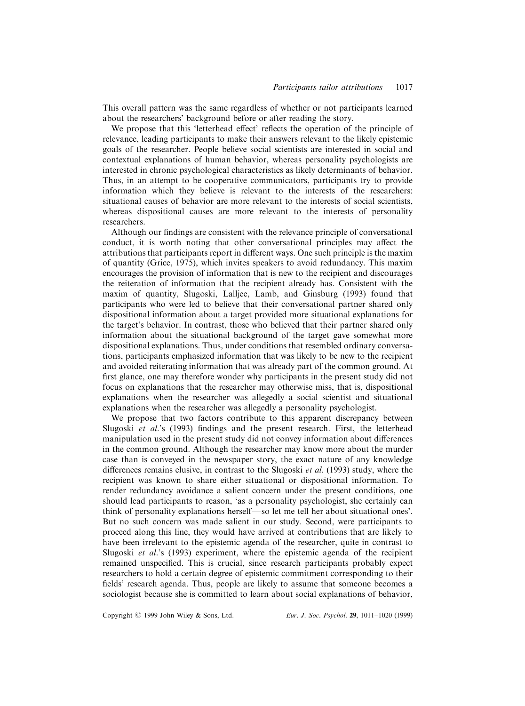This overall pattern was the same regardless of whether or not participants learned about the researchers' background before or after reading the story.

We propose that this 'letterhead effect' reflects the operation of the principle of relevance, leading participants to make their answers relevant to the likely epistemic goals of the researcher. People believe social scientists are interested in social and contextual explanations of human behavior, whereas personality psychologists are interested in chronic psychological characteristics as likely determinants of behavior. Thus, in an attempt to be cooperative communicators, participants try to provide information which they believe is relevant to the interests of the researchers: situational causes of behavior are more relevant to the interests of social scientists, whereas dispositional causes are more relevant to the interests of personality researchers.

Although our findings are consistent with the relevance principle of conversational conduct, it is worth noting that other conversational principles may affect the attributions that participants report in different ways. One such principle is the maxim of quantity (Grice, 1975), which invites speakers to avoid redundancy. This maxim encourages the provision of information that is new to the recipient and discourages the reiteration of information that the recipient already has. Consistent with the maxim of quantity, Slugoski, Lalljee, Lamb, and Ginsburg (1993) found that participants who were led to believe that their conversational partner shared only dispositional information about a target provided more situational explanations for the target's behavior. In contrast, those who believed that their partner shared only information about the situational background of the target gave somewhat more dispositional explanations. Thus, under conditions that resembled ordinary conversations, participants emphasized information that was likely to be new to the recipient and avoided reiterating information that was already part of the common ground. At first glance, one may therefore wonder why participants in the present study did not focus on explanations that the researcher may otherwise miss, that is, dispositional explanations when the researcher was allegedly a social scientist and situational explanations when the researcher was allegedly a personality psychologist.

We propose that two factors contribute to this apparent discrepancy between Slugoski et al.'s (1993) findings and the present research. First, the letterhead manipulation used in the present study did not convey information about differences in the common ground. Although the researcher may know more about the murder case than is conveyed in the newspaper story, the exact nature of any knowledge differences remains elusive, in contrast to the Slugoski *et al.* (1993) study, where the recipient was known to share either situational or dispositional information. To render redundancy avoidance a salient concern under the present conditions, one should lead participants to reason, `as a personality psychologist, she certainly can think of personality explanations herself—so let me tell her about situational ones'. But no such concern was made salient in our study. Second, were participants to proceed along this line, they would have arrived at contributions that are likely to have been irrelevant to the epistemic agenda of the researcher, quite in contrast to Slugoski et al.'s (1993) experiment, where the epistemic agenda of the recipient remained unspecified. This is crucial, since research participants probably expect researchers to hold a certain degree of epistemic commitment corresponding to their fields' research agenda. Thus, people are likely to assume that someone becomes a sociologist because she is committed to learn about social explanations of behavior,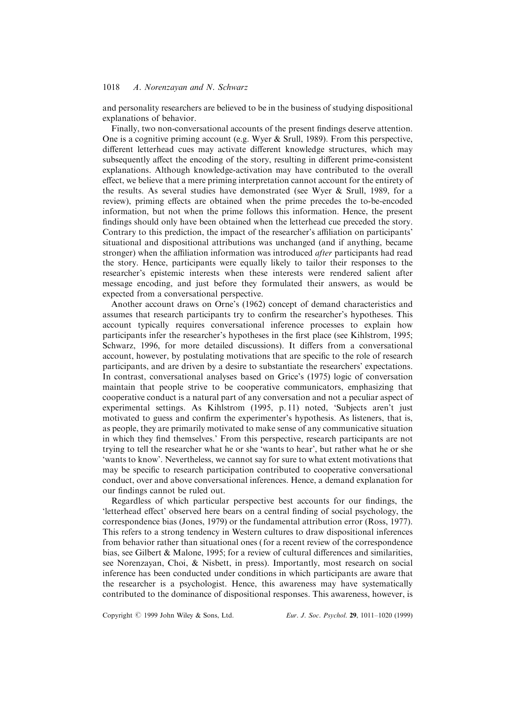and personality researchers are believed to be in the business of studying dispositional explanations of behavior.

Finally, two non-conversational accounts of the present findings deserve attention. One is a cognitive priming account (e.g. Wyer  $&$  Srull, 1989). From this perspective, different letterhead cues may activate different knowledge structures, which may subsequently affect the encoding of the story, resulting in different prime-consistent explanations. Although knowledge-activation may have contributed to the overall effect, we believe that a mere priming interpretation cannot account for the entirety of the results. As several studies have demonstrated (see Wyer & Srull, 1989, for a review), priming effects are obtained when the prime precedes the to-be-encoded information, but not when the prime follows this information. Hence, the present findings should only have been obtained when the letterhead cue preceded the story. Contrary to this prediction, the impact of the researcher's affiliation on participants' situational and dispositional attributions was unchanged (and if anything, became stronger) when the affiliation information was introduced *after* participants had read the story. Hence, participants were equally likely to tailor their responses to the researcher's epistemic interests when these interests were rendered salient after message encoding, and just before they formulated their answers, as would be expected from a conversational perspective.

Another account draws on Orne's (1962) concept of demand characteristics and assumes that research participants try to confirm the researcher's hypotheses. This account typically requires conversational inference processes to explain how participants infer the researcher's hypotheses in the first place (see Kihlstrom, 1995; Schwarz, 1996, for more detailed discussions). It differs from a conversational account, however, by postulating motivations that are specific to the role of research participants, and are driven by a desire to substantiate the researchers' expectations. In contrast, conversational analyses based on Grice's (1975) logic of conversation maintain that people strive to be cooperative communicators, emphasizing that cooperative conduct is a natural part of any conversation and not a peculiar aspect of experimental settings. As Kihlstrom (1995, p. 11) noted, `Subjects aren't just motivated to guess and confirm the experimenter's hypothesis. As listeners, that is, as people, they are primarily motivated to make sense of any communicative situation in which they find themselves.' From this perspective, research participants are not trying to tell the researcher what he or she `wants to hear', but rather what he or she `wants to know'. Nevertheless, we cannot say for sure to what extent motivations that may be specific to research participation contributed to cooperative conversational conduct, over and above conversational inferences. Hence, a demand explanation for our findings cannot be ruled out.

Regardless of which particular perspective best accounts for our findings, the 'letterhead effect' observed here bears on a central finding of social psychology, the correspondence bias (Jones, 1979) or the fundamental attribution error (Ross, 1977). This refers to a strong tendency in Western cultures to draw dispositional inferences from behavior rather than situational ones ( for a recent review of the correspondence bias, see Gilbert  $\&$  Malone, 1995; for a review of cultural differences and similarities, see Norenzayan, Choi, & Nisbett, in press). Importantly, most research on social inference has been conducted under conditions in which participants are aware that the researcher is a psychologist. Hence, this awareness may have systematically contributed to the dominance of dispositional responses. This awareness, however, is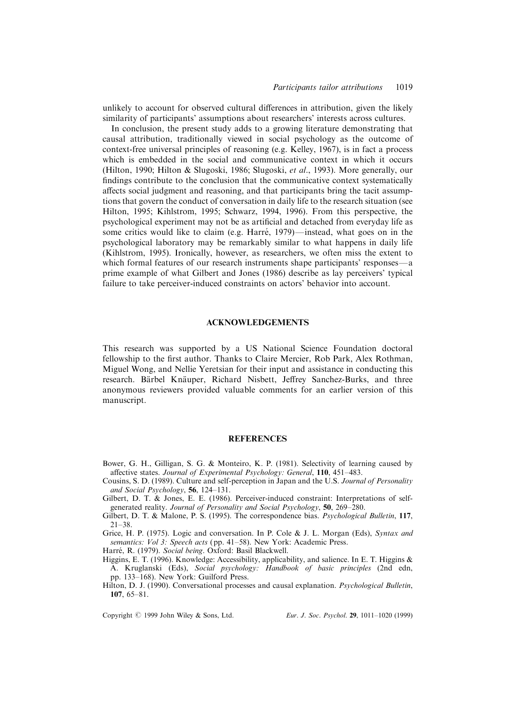unlikely to account for observed cultural differences in attribution, given the likely similarity of participants' assumptions about researchers' interests across cultures.

In conclusion, the present study adds to a growing literature demonstrating that causal attribution, traditionally viewed in social psychology as the outcome of context-free universal principles of reasoning (e.g. Kelley, 1967), is in fact a process which is embedded in the social and communicative context in which it occurs (Hilton, 1990; Hilton & Slugoski, 1986; Slugoski, et al., 1993). More generally, our findings contribute to the conclusion that the communicative context systematically affects social judgment and reasoning, and that participants bring the tacit assumptions that govern the conduct of conversation in daily life to the research situation (see Hilton, 1995; Kihlstrom, 1995; Schwarz, 1994, 1996). From this perspective, the psychological experiment may not be as artificial and detached from everyday life as some critics would like to claim (e.g. Harré, 1979)—instead, what goes on in the psychological laboratory may be remarkably similar to what happens in daily life (Kihlstrom, 1995). Ironically, however, as researchers, we often miss the extent to which formal features of our research instruments shape participants' responses—a prime example of what Gilbert and Jones (1986) describe as lay perceivers' typical failure to take perceiver-induced constraints on actors' behavior into account.

#### ACKNOWLEDGEMENTS

This research was supported by a US National Science Foundation doctoral fellowship to the first author. Thanks to Claire Mercier, Rob Park, Alex Rothman, Miguel Wong, and Nellie Yeretsian for their input and assistance in conducting this research. Bärbel Knäuper, Richard Nisbett, Jeffrey Sanchez-Burks, and three anonymous reviewers provided valuable comments for an earlier version of this manuscript.

#### REFERENCES

- Bower, G. H., Gilligan, S. G. & Monteiro, K. P. (1981). Selectivity of learning caused by affective states. Journal of Experimental Psychology: General, 110, 451-483.
- Cousins, S. D. (1989). Culture and self-perception in Japan and the U.S. Journal of Personality and Social Psychology,  $56$ , 124-131.
- Gilbert, D. T. & Jones, E. E. (1986). Perceiver-induced constraint: Interpretations of selfgenerated reality. Journal of Personality and Social Psychology, 50, 269-280.
- Gilbert, D. T. & Malone, P. S. (1995). The correspondence bias. *Psychological Bulletin*, 117,  $21 - 38.$

Grice, H. P. (1975). Logic and conversation. In P. Cole & J. L. Morgan (Eds), Syntax and semantics: Vol 3: Speech acts (pp. 41-58). New York: Academic Press.

Harré, R. (1979). Social being. Oxford: Basil Blackwell.

Higgins, E. T. (1996). Knowledge: Accessibility, applicability, and salience. In E. T. Higgins & A. Kruglanski (Eds), Social psychology: Handbook of basic principles (2nd edn, pp. 133–168). New York: Guilford Press.

Hilton, D. J. (1990). Conversational processes and causal explanation. Psychological Bulletin, 107,  $65-81$ .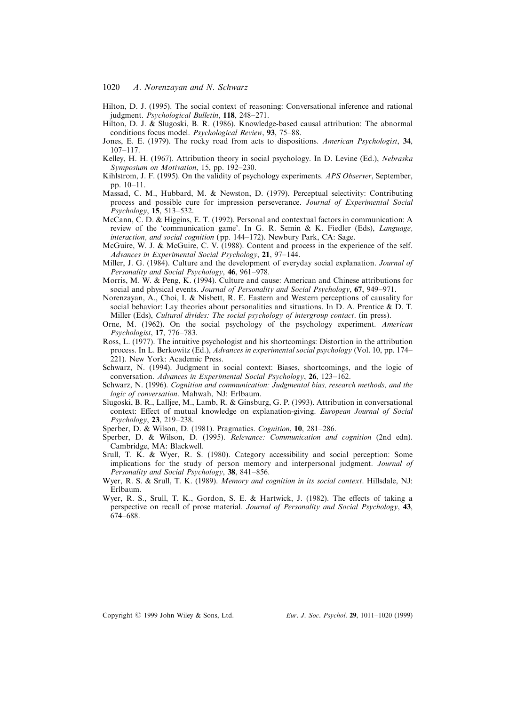- 1020 A. Norenzayan and N. Schwarz
- Hilton, D. J. (1995). The social context of reasoning: Conversational inference and rational judgment. Psychological Bulletin, 118, 248-271.
- Hilton, D. J. & Slugoski, B. R. (1986). Knowledge-based causal attribution: The abnormal conditions focus model. Psychological Review, 93, 75-88.
- Jones, E. E. (1979). The rocky road from acts to dispositions. American Psychologist, 34, 107±117.
- Kelley, H. H. (1967). Attribution theory in social psychology. In D. Levine (Ed.), Nebraska Symposium on Motivation, 15, pp. 192-230.
- Kihlstrom, J. F. (1995). On the validity of psychology experiments. APS Observer, September, pp.  $10-11$ .
- Massad, C. M., Hubbard, M. & Newston, D. (1979). Perceptual selectivity: Contributing process and possible cure for impression perseverance. Journal of Experimental Social  $Psychology$ , 15, 513–532.
- McCann, C. D. & Higgins, E. T. (1992). Personal and contextual factors in communication: A review of the 'communication game'. In G. R. Semin & K. Fiedler (Eds), Language, interaction, and social cognition (pp. 144-172). Newbury Park, CA: Sage.
- McGuire, W. J. & McGuire, C. V. (1988). Content and process in the experience of the self. Advances in Experimental Social Psychology,  $21$ , 97-144.
- Miller, J. G. (1984). Culture and the development of everyday social explanation. Journal of Personality and Social Psychology, 46, 961-978.
- Morris, M. W. & Peng, K. (1994). Culture and cause: American and Chinese attributions for social and physical events. Journal of Personality and Social Psychology,  $67$ , 949-971.
- Norenzayan, A., Choi, I. & Nisbett, R. E. Eastern and Western perceptions of causality for social behavior: Lay theories about personalities and situations. In D. A. Prentice & D. T. Miller (Eds), Cultural divides: The social psychology of intergroup contact. (in press).
- Orne, M. (1962). On the social psychology of the psychology experiment. American  $Psychologist, 17, 776–783.$
- Ross, L. (1977). The intuitive psychologist and his shortcomings: Distortion in the attribution process. In L. Berkowitz (Ed.), Advances in experimental social psychology (Vol. 10, pp. 174-221). New York: Academic Press.
- Schwarz, N. (1994). Judgment in social context: Biases, shortcomings, and the logic of conversation. Advances in Experimental Social Psychology,  $26$ , 123-162.
- Schwarz, N. (1996). Cognition and communication: Judgmental bias, research methods, and the logic of conversation. Mahwah, NJ: Erlbaum.
- Slugoski, B. R., Lalljee, M., Lamb, R. & Ginsburg, G. P. (1993). Attribution in conversational context: Effect of mutual knowledge on explanation-giving. European Journal of Social  $Psychology, 23, 219–238.$
- Sperber, D. & Wilson, D. (1981). Pragmatics. Cognition, 10, 281-286.
- Sperber, D. & Wilson, D. (1995). Relevance: Communication and cognition (2nd edn). Cambridge, MA: Blackwell.
- Srull, T. K. & Wyer, R. S. (1980). Category accessibility and social perception: Some implications for the study of person memory and interpersonal judgment. Journal of Personality and Social Psychology,  $38$ ,  $841-856$ .
- Wyer, R. S. & Srull, T. K. (1989). Memory and cognition in its social context. Hillsdale, NJ: Erlbaum.
- Wyer, R. S., Srull, T. K., Gordon, S. E. & Hartwick, J.  $(1982)$ . The effects of taking a perspective on recall of prose material. Journal of Personality and Social Psychology, 43, 674±688.